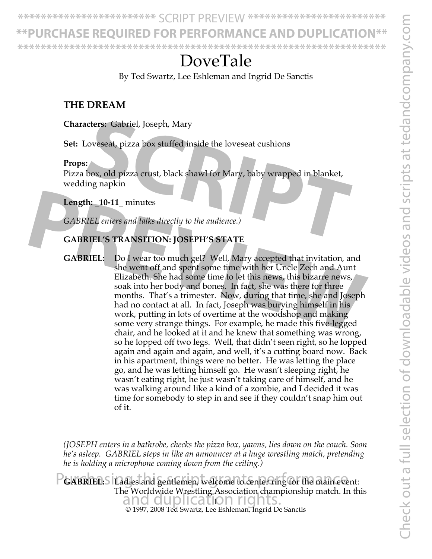**\*\*PURCHASE REQUIRED FOR PERFORMANCE AND DUPLICATION\*\***

# DoveTale

By Ted Swartz, Lee Eshleman and Ingrid De Sanctis

### **THE DREAM**

**\*\*\*\*\*\*\*\*\*\*\*\*\*\*\*\*\*\*\*\*\*\*\*\*\*\*\*\*\*\*\*\*\*\*\*\*\*\*\*\*\*\*\*\*\*\*\*\*\*\*\*\*\*\*\*\*\*\*\*\*\*\*\*\***

**Characters:** Gabriel, Joseph, Mary

**Set:** Loveseat, pizza box stuffed inside the loveseat cushions

### **Props:**

Pizza box, old pizza crust, black shawl for Mary, baby wrapped in blanket, wedding napkin Example 19 Joseph, Mary<br>
Soveseat, pizza box stuffed inside the loveseat cushions<br>
Sox, old pizza crust, black shawl for Mary, baby wrapped in blanket,<br>
ing napkin<br> **h:** \_10-11\_ minutes<br>
IEL enters and talks directly to th

**Length: \_10-11\_** minutes

*GABRIEL enters and talks directly to the audience.)*

### **GABRIEL'S TRANSITION: JOSEPH'S STATE**

**GABRIEL:** Do I wear too much gel? Well, Mary accepted that invitation, and she went off and spent some time with her Uncle Zech and Aunt Elizabeth. She had some time to let this news, this bizarre news, soak into her body and bones. In fact, she was there for three months. That's a trimester. Now, during that time, she and Joseph had no contact at all. In fact, Joseph was burying himself in his work, putting in lots of overtime at the woodshop and making some very strange things. For example, he made this five-legged chair, and he looked at it and he knew that something was wrong, so he lopped off two legs. Well, that didn't seen right, so he lopped again and again and again, and well, it's a cutting board now. Back in his apartment, things were no better. He was letting the place go, and he was letting himself go. He wasn't sleeping right, he wasn't eating right, he just wasn't taking care of himself, and he was walking around like a kind of a zombie, and I decided it was time for somebody to step in and see if they couldn't snap him out of it. **Ength: \_10-11\_** minutes<br>
GABRIEL' enters and talks directly to the audience.)<br> **CABRIEL'S TRANSITION: JOSEPH'S STATE**<br> **PREVIEW: PREVIEW: PREVIEW: PREVIEW: PREVIEW:** Do I wear too much gel? Well, Mary accepted tha

> *(JOSEPH enters in a bathrobe, checks the pizza box, yawns, lies down on the couch. Soon he's asleep. GABRIEL steps in like an announcer at a huge wrestling match, pretending he is holding a microphone coming down from the ceiling.)*

© 1997, 2008 Ted Swartz, Lee Eshleman, Ingrid De Sanctis and duplication rights. PGABRIEL: S Ladies and gentlemen, welcome to center ring for the main event: The Worldwide Wrestling Association championship match. In this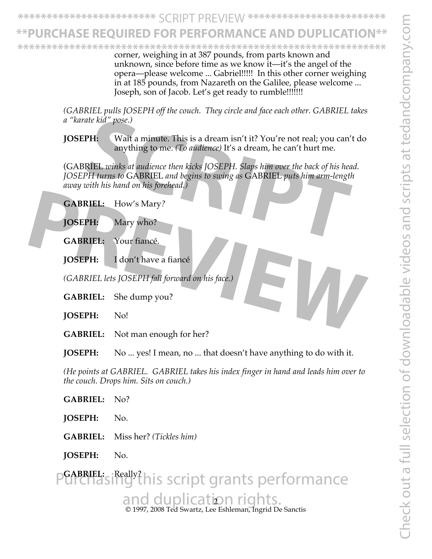## <u>\*HASE REQUIRED FOR PERFORMANCE AND DUPLICATI</u>

**\*\*\*\*\*\*\*\*\*\*\*\*\*\*\*\*\*\*\*\*\*\*\*\*\*\*\*\*\*\*\*\*\*\*\*\*\*\*\*\*\*\*\*\*\*\*\*\*\*\*\*\*\*\*\*\*\*\*\*\*\*\*\*\***

corner, weighing in at 387 pounds, from parts known and unknown, since before time as we know it—it's the angel of the opera—please welcome ... Gabriel!!!!! In this other corner weighing in at 185 pounds, from Nazareth on the Galilee, please welcome ... Joseph, son of Jacob. Let's get ready to rumble!!!!!!!

*(GABRIEL pulls JOSEPH off the couch. They circle and face each other. GABRIEL takes a "karate kid" pose.)*

**JOSEPH:** Wait a minute. This is a dream isn't it? You're not real; you can't do anything to me. *(To audience)* It's a dream, he can't hurt me.

(GABRIEL *winks at audience then kicks JOSEPH. Slaps him over the back of his head. JOSEPH turns to* GABRIEL *and begins to swing as* GABRIEL *puts him arm-length away with his hand on his forehead.)* ate kid" pose.)<br> **SCRIPH:** Wait a minute. This is a dream isn't it? You're not real; you can't<br>
anything to me. (*Lo audience*) It's a dream, he can't hurt me.<br>
RIEL winks at audience then kicks JOSEPH. Slaps him over the

**GABRIEL:** How's Mary*?*

**JOSEPH:** Mary who?

**GABRIEL:** Your fiancé.

**JOSEPH:** I don't have a fiancé

*(GABRIEL lets JOSEPH fall forward on his face.)* **CABRIEL:** How's Mary?<br> **JOSEPH:** Mary who?<br> **CABRIEL:** Your fiance.<br> **JOSEPH:** I don't have a fiance<br>
(GABRIEL lets JOSEPH fall forward on his face.)<br> **CABRIEL:** She dump you?<br> **JOSEPH:** No!

**GABRIEL:** She dump you?

**JOSEPH:** No!

**GABRIEL:** Not man enough for her?

**JOSEPH:** No ... yes! I mean, no ... that doesn't have anything to do with it.

*(He points at GABRIEL. GABRIEL takes his index finger in hand and leads him over to the couch. Drops him. Sits on couch.)*

**GABRIEL:** No?

**JOSEPH:** No.

**GABRIEL:** Miss her? *(Tickles him)*

**JOSEPH:** No.

© 1997, 2008 Ted Swartz, Lee Eshleman, Ingrid De Sanctis and duplication rights. Purchasing this script grants performance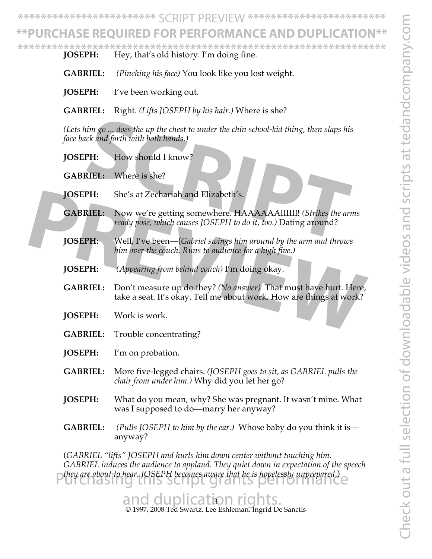## **\*\*PURCHASE REQUIRED FOR PERFORMANCE AND DUPLICATION\*\***

**JOSEPH:** Hey, that's old history. I'm doing fine. **\*\*\*\*\*\*\*\*\*\*\*\*\*\*\*\*\*\*\*\*\*\*\*\*\*\*\*\*\*\*\*\*\*\*\*\*\*\*\*\*\*\*\*\*\*\*\*\*\*\*\*\*\*\*\*\*\*\*\*\*\*\*\*\***

- **GABRIEL:** *(Pinching his face)* You look like you lost weight.
- **JOSEPH:** I've been working out.
- **GABRIEL:** Right. *(Lifts JOSEPH by his hair.)* Where is she?

*(Lets him go ... does the up the chest to under the chin school-kid thing, then slaps his face back and forth with both hands.)*

- **JOSEPH:** How should I know?
- **GABRIEL:** Where is she?
- **JOSEPH:** She's at Zechariah and Elizabeth's.
- **GABRIEL:** Now we're getting somewhere. HAAAAAAIIIIII! *(Strikes the arms ready pose, which causes JOSEPH to do it, too.)* Dating around? For a matrice of the up the chest to under the chin school-kid thing, then slaps his<br>
Sck and forth with both hands.)<br> **SIEL:** Where is she?<br> **SIEL:** Where is she?<br> **SIEL:** Where is she?<br> **SIEL:** Now we're getting somewher
- **JOSEPH:** Well, I've been—(*Gabriel swings him around by the arm and throws him over the couch. Runs to audience for a high five.)*
- **JOSEPH:** *(Appearing from behind couch)* I'm doing okay.
- **GABRIEL:** Don't measure up do they? *(No answer)* That must have hurt. Here, take a seat. It's okay. Tell me about work. How are things at work? **JOSEPH:** She's at Zechariah and Elizabeth's.<br> **GABRIEL:** Now we're getting somewhere. HAAAAAAIIIIII! (Strikes the arms ready pose, which causes JOSEPH to do it, too.) Dating around?<br> **JOSEPH:** Well, I've been—(Gabriel swi
	- **JOSEPH:** Work is work.
	- **GABRIEL:** Trouble concentrating?
	- **JOSEPH:** I'm on probation.
	- **GABRIEL:** More five-legged chairs. *(JOSEPH goes to sit, as GABRIEL pulls the chair from under him.)* Why did you let her go?
	- **JOSEPH:** What do you mean, why? She was pregnant. It wasn't mine. What was I supposed to do—marry her anyway?
	- **GABRIEL:** *(Pulls JOSEPH to him by the ear.)* Whose baby do you think it is anyway?

(*GABRIEL "lifts" JOSEPH and hurls him down center without touching him. GABRIEL induces the audience to applaud. They quiet down in expectation of the speech they are about to hear. JOSEPH becomes aware that he is hopelessly unprepared*.) Purchasing this script grants performance

> © 1997, 2008 Ted Swartz, Lee Eshleman, Ingrid De Sanctis and duplication rights.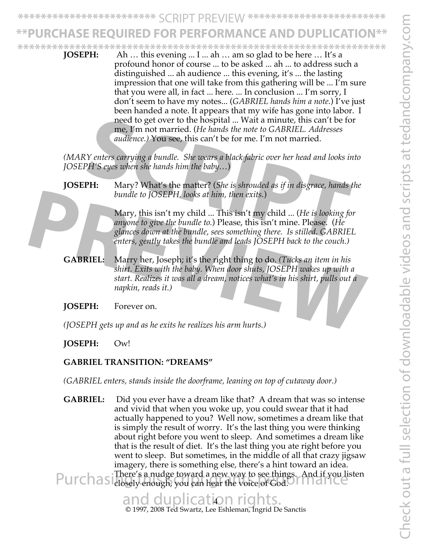# URCHASE REQUIRED FOR PERFORMANCE AND DUPLICATI

**\*\*\*\*\*\*\*\*\*\*\*\*\*\*\*\*\*\*\*\*\*\*\*\*\*\*\*\*\*\*\*\*\*\*\*\*\*\*\*\*\*\*\*\*\*\*\*\*\*\*\*\*\*\*\*\*\*\*\*\*\*\*\*\***

**JOSEPH:** Ah … this evening ... I ... ah … am so glad to be here … It's a profound honor of course ... to be asked ... ah ... to address such a distinguished ... ah audience ... this evening, it's ... the lasting impression that one will take from this gathering will be ... I'm sure that you were all, in fact ... here. ... In conclusion ... I'm sorry, I don't seem to have my notes... (*GABRIEL hands him a note.*) I've just been handed a note. It appears that my wife has gone into labor. I need to get over to the hospital ... Wait a minute, this can't be for me, I'm not married. (*He hands the note to GABRIEL. Addresses audience.)* You see, this can't be for me. I'm not married.

*(MARY enters carrying a bundle. She wears a black fabric over her head and looks into JOSEPH'S eyes when she hands him the baby…*)

Mary, this isn't my child ... This isn't my child ... (*He is looking for anyone to give the bundle to.*) Please, this isn't mine. Please. (*He glances down at the bundle, sees something there. Is stilled. GABRIEL enters, gently takes the bundle and leads JOSEPH back to the couch.)* need to get over to the hospital ... Wait a minute, this can't be for<br>me, I'm not married. (*He hands the note to GABRIEL. Addresses*<br>audience.) You see, this can't be for me. I'm not married.<br>Y enters carrying a bundle. S

**GABRIEL:** Marry her, Joseph; it's the right thing to do. *(Tucks an item in his shirt. Exits with the baby. When door shuts, JOSEPH wakes up with a start. Realizes it was all a dream, notices what's in his shirt, pulls out a napkin, reads it.)* bundle to JOSEPH, looks at him, then exits.)<br>
Mary, this isn't my child ... This isn't my child ... (He is looking for<br>
anyone to give the bundle to.) Please, this isn't mine. Please. (He<br>
glances down at the bundle, sees

**JOSEPH:** Forever on.

*(JOSEPH gets up and as he exits he realizes his arm hurts.)*

#### **JOSEPH:** Ow!

### **GABRIEL TRANSITION: "DREAMS"**

*(GABRIEL enters, stands inside the doorframe, leaning on top of cutaway door.)*

**GABRIEL:** Did you ever have a dream like that? A dream that was so intense and vivid that when you woke up, you could swear that it had actually happened to you? Well now, sometimes a dream like that is simply the result of worry. It's the last thing you were thinking about right before you went to sleep. And sometimes a dream like that is the result of diet. It's the last thing you ate right before you went to sleep. But sometimes, in the middle of all that crazy jigsaw imagery, there is something else, there's a hint toward an idea. There's a nudge toward a new way to see things. And if you listen Purchas There's a nudge toward a new way to see things. And if you lis<br>Purchasidosely enough, you can hear the voice of God.

## and duplication rights.

© 1997, 2008 Ted Swartz, Lee Eshleman, Ingrid De Sanctis

**JOSEPH:** Mary? What's the matter? (*She is shrouded as if in disgrace, hands the bundle to JOSEPH, looks at him, then exits.*)